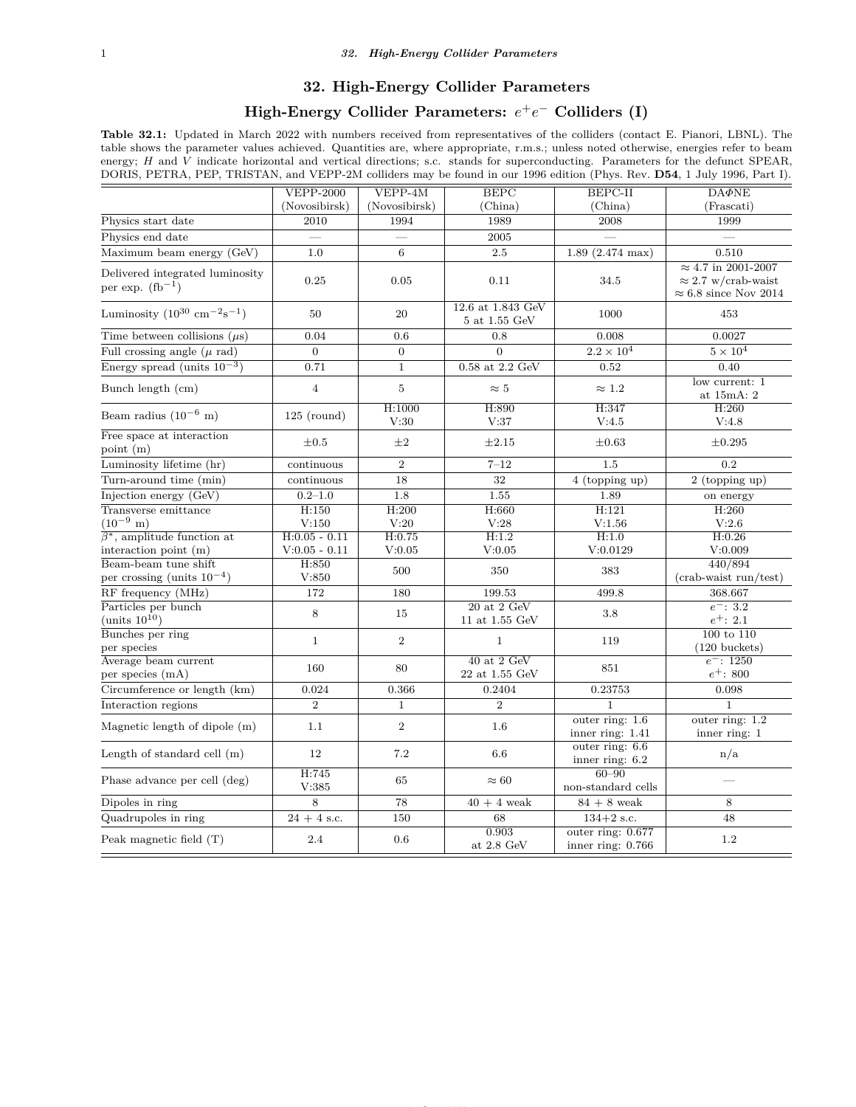#### **32. High-Energy Collider Parameters**

# $\textbf{High-Energy Collider Parameters: } e^+e^- \text{ Colliders (I)}$

**Table 32.1:** Updated in March 2022 with numbers received from representatives of the colliders (contact E. Pianori, LBNL). The table shows the parameter values achieved. Quantities are, where appropriate, r.m.s.; unless noted otherwise, energies refer to beam energy; *H* and *V* indicate horizontal and vertical directions; s.c. stands for superconducting. Parameters for the defunct SPEAR, DORIS, PETRA, PEP, TRISTAN, and VEPP-2M colliders may be found in our 1996 edition (Phys. Rev. **D54**, 1 July 1996, Part I).

|                                                            | $VEPP-2000$           | $VEPP-4M$        | <b>BEPC</b>                               | $BEPC-II$                                | $DA\Phi NE$                                                |  |
|------------------------------------------------------------|-----------------------|------------------|-------------------------------------------|------------------------------------------|------------------------------------------------------------|--|
|                                                            | (Novosibirsk)         | (Novosibirsk)    | (China)                                   | (China)                                  | (Frascati)                                                 |  |
| Physics start date                                         | 2010                  | 1994             | 1989                                      | 2008                                     | 1999                                                       |  |
| Physics end date                                           |                       |                  | 2005                                      |                                          |                                                            |  |
| Maximum beam energy (GeV)                                  | 1.0                   | 6                | $2.5\,$                                   | $1.89$ $(2.474 \text{ max})$             | 0.510                                                      |  |
|                                                            |                       |                  |                                           |                                          | $\approx 4.7$ in 2001-2007                                 |  |
| Delivered integrated luminosity<br>per exp. $(fb^{-1})$    | 0.25                  | 0.05             | 0.11                                      | 34.5                                     | $\approx$ 2.7 w/crab-waist<br>$\approx 6.8$ since Nov 2014 |  |
| Luminosity $(10^{30} \text{ cm}^{-2} \text{s}^{-1})$       | 50                    | 20               | 12.6 at 1.843 GeV<br>$5$ at $1.55$ GeV    | 1000                                     | 453                                                        |  |
| Time between collisions $(\mu s)$                          | 0.04                  | 0.6              | 0.8                                       | 0.008                                    | 0.0027                                                     |  |
| Full crossing angle $(\mu \text{ rad})$                    | $\Omega$              | $\Omega$         | $\Omega$                                  | $2.2 \times 10^4$                        | $5\times10^4$                                              |  |
| Energy spread (units $10^{-3}$ )                           | 0.71                  | $\,1$            | $0.58$ at $2.2$ ${\rm GeV}$               | 0.52                                     | 0.40                                                       |  |
| Bunch length (cm)                                          | $\sqrt{4}$            | $\bf 5$          | $\approx 5$                               | $\approx 1.2$                            | low current: 1<br>at 15mA: 2                               |  |
| Beam radius $(10^{-6} \text{ m})$                          | $125$ (round)         | H:1000           | H:890                                     | H:347                                    | H:260                                                      |  |
|                                                            |                       | V:30             | V:37                                      | V:4.5                                    | V:4.8                                                      |  |
| $\overline{\text{Free space}}$ at interaction<br>point (m) | $\pm 0.5$             | $\pm 2$          | $\pm 2.15$                                | $\pm 0.63$                               | $\pm 0.295$                                                |  |
| Luminosity lifetime (hr)                                   | continuous            | $\overline{2}$   | $7 - 12$                                  | 1.5                                      | 0.2                                                        |  |
| Turn-around time (min)                                     | continuous            | $\overline{18}$  | 32                                        | 4 (topping up)                           | 2 (topping up)                                             |  |
| Injection energy (GeV)                                     | $\overline{0.2}$ -1.0 | $\overline{1.8}$ | $\overline{1.55}$                         | 1.89                                     | on energy                                                  |  |
| Transverse emittance                                       | H:150                 | H:200            | H:660                                     | H:121                                    | H:260                                                      |  |
| $(10^{-9} \text{ m})$                                      | V:150                 | V:20             | V:28                                      | V:1.56                                   | V:2.6                                                      |  |
| $\overline{\beta^*}$ , amplitude function at               | $H: 0.05 - 0.11$      | H:0.75           | H:1.2                                     | H:1.0                                    | H:0.26                                                     |  |
| interaction point $(m)$                                    | $V:0.05 - 0.11$       | V:0.05           | V:0.05                                    | V:0.0129                                 | V:0.009                                                    |  |
| Beam-beam tune shift<br>per crossing (units $10^{-4}$ )    | H:850<br>V:850        | 500              | 350                                       | 383                                      | 440/894<br>(crab-waist run/test)                           |  |
| RF frequency (MHz)                                         | 172                   | 180              | 199.53                                    | 499.8                                    | 368.667                                                    |  |
| Particles per bunch                                        |                       |                  | $\overline{20 \text{ at } 2 \text{ GeV}}$ |                                          | $e^-$ : 3.2                                                |  |
| (units $10^{10}$ )                                         | $\,8\,$               | 15               | 11 at 1.55 GeV                            | $3.8\,$                                  | $e^+$ : 2.1                                                |  |
| Bunches per ring<br>per species                            | $\mathbf{1}$          | $\overline{2}$   | $\mathbf{1}$                              | 119                                      | $100$ to $110$<br>$(120 \text{ buckets})$                  |  |
| Average beam current                                       | 160                   | 80               | $40$ at $2$ GeV                           | 851                                      | $e^-$ : 1250                                               |  |
| per species (mA)                                           |                       |                  | 22 at 1.55 GeV                            |                                          | $e^+$ : 800                                                |  |
| Circumference or length (km)                               | 0.024                 | 0.366            | 0.2404                                    | 0.23753                                  | 0.098                                                      |  |
| Interaction regions                                        | $\overline{2}$        | $\,1$            | $\overline{2}$                            | $\mathbf{1}$                             | $\mathbf{1}$                                               |  |
| Magnetic length of dipole (m)                              | 1.1                   | $\,2$            | 1.6                                       | outer ring: $1.6$<br>inner ring: 1.41    | outer ring: $1.2$<br>inner ring: $1$                       |  |
| Length of standard cell (m)                                | 12                    | 7.2              | 6.6                                       | outer ring: 6.6<br>inner ring: $6.2$     | n/a                                                        |  |
| Phase advance per cell (deg)                               | H:745<br>V:385        | 65               | $\approx 60$                              | $60 - 90$<br>non-standard cells          |                                                            |  |
| Dipoles in ring                                            | 8                     | 78               | $40 + 4$ weak                             | $84$ + $8\,$ weak                        | 8                                                          |  |
| Quadrupoles in ring                                        | $24 + 4$ s.c.         | 150              | 68                                        | $134+2$ s.c.                             | 48                                                         |  |
| Peak magnetic field $(T)$                                  | 2.4                   | 0.6              | 0.903<br>at 2.8 GeV                       | outer ring: 0.677<br>inner ring: $0.766$ | $1.2\,$                                                    |  |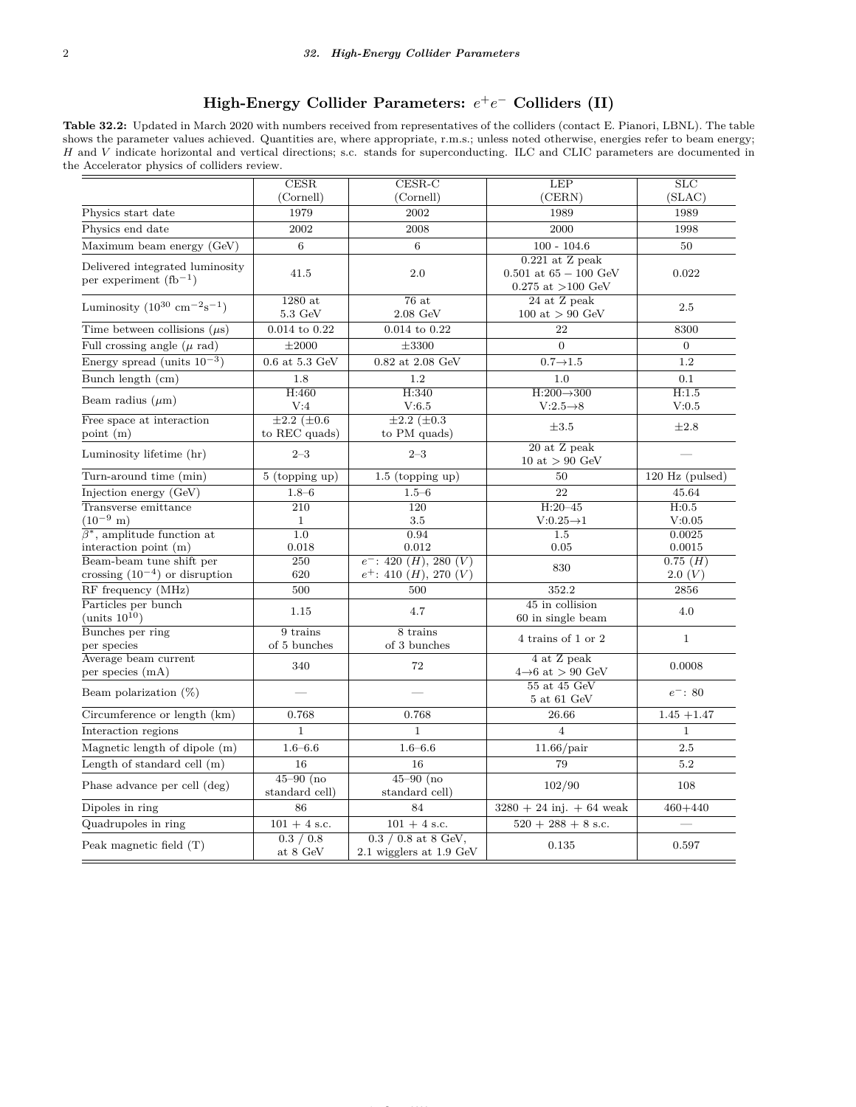# $\textbf{High-Energy Collider Parameters: } e^{+}e^{-} \text{ Colliders (II)}$

**Table 32.2:** Updated in March 2020 with numbers received from representatives of the colliders (contact E. Pianori, LBNL). The table shows the parameter values achieved. Quantities are, where appropriate, r.m.s.; unless noted otherwise, energies refer to beam energy; *H* and *V* indicate horizontal and vertical directions; s.c. stands for superconducting. ILC and CLIC parameters are documented in the Accelerator physics of colliders review.

|                                                              | CESR                                 | $CESR-C$<br><b>LEP</b>                              |                                                                     | SLC               |  |
|--------------------------------------------------------------|--------------------------------------|-----------------------------------------------------|---------------------------------------------------------------------|-------------------|--|
|                                                              | (Cornell)                            | (Cornell)                                           | (CERN)                                                              | (SLAC)            |  |
| Physics start date                                           | 1979                                 | 2002                                                | 1989                                                                | 1989              |  |
| Physics end date                                             | 2002                                 | 2008                                                | 2000                                                                | 1998              |  |
| Maximum beam energy (GeV)                                    | 6                                    | 6                                                   | $100 - 104.6$                                                       | 50                |  |
| Delivered integrated luminosity<br>per experiment $(h^{-1})$ | 41.5                                 | 2.0                                                 | $0.221$ at Z peak<br>0.501 at $65 - 100$ GeV<br>0.275 at $>100$ GeV | 0.022             |  |
| Luminosity $(10^{30} \text{ cm}^{-2} \text{s}^{-1})$         | $1280$ at<br>$5.3 \text{ GeV}$       | 76at<br>$2.08\,\mathrm{GeV}$                        | 24 at Z peak<br>100 at $> 90$ GeV                                   | 2.5               |  |
| Time between collisions $(\mu s)$                            | $0.014$ to $0.22$                    | $0.014$ to $0.22$                                   | 22                                                                  | 8300              |  |
| Full crossing angle $(\mu$ rad)                              | $\pm 2000$                           | $\pm 3300$                                          | $\overline{0}$                                                      | $\overline{0}$    |  |
| Energy spread (units $10^{-3}$ )                             | $0.6$ at $5.3$ GeV                   | $0.82$ at $2.08$ GeV                                | $0.7 \rightarrow 1.5$                                               | 1.2               |  |
| Bunch length (cm)                                            | 1.8                                  | 1.2                                                 | 1.0                                                                 | 0.1               |  |
| Beam radius $(\mu m)$                                        | H:460                                | H:340                                               | $H:200 \rightarrow 300$                                             | H:1.5             |  |
|                                                              | V:4                                  | V:6.5                                               | $V:2.5\rightarrow 8$                                                | V:0.5             |  |
| Free space at interaction<br>point (m)                       | $\pm 2.2~(\pm 0.6)$<br>to REC quads) | $\pm 2.2~(\pm 0.3)$<br>to PM quads)                 | $\pm 3.5$                                                           | $\pm 2.8$         |  |
| Luminosity lifetime (hr)                                     | $2 - 3$                              | $2 - 3$                                             | 20 at Z peak<br>10 at $> 90$ GeV                                    |                   |  |
| Turn-around time (min)                                       | $5$ (topping up)                     | $1.5$ (topping up)                                  | 50                                                                  | $120$ Hz (pulsed) |  |
| Injection energy (GeV)                                       | $1.8 - 6$                            | $1.5 - 6$                                           | 22                                                                  | 45.64             |  |
| Transverse emittance                                         | $\overline{210}$                     | 120                                                 | $H:20-45$                                                           | H:0.5             |  |
| $(10^{-9} \text{ m})$                                        | $\mathbf{1}$                         | 3.5                                                 | $V:0.25\rightarrow 1$                                               | V:0.05            |  |
| $\overline{\beta^*}$ , amplitude function at                 | $\overline{1.0}$                     | 0.94                                                | 1.5                                                                 | 0.0025            |  |
| interaction point (m)<br>Beam-beam tune shift per            | 0.018<br>250                         | 0.012<br>$e^-$ : 420 ( <i>H</i> ), 280 ( <i>V</i> ) | 0.05                                                                | 0.0015<br>0.75(H) |  |
| crossing $(10^{-4})$ or disruption                           | 620                                  | $e^+$ : 410 $(H)$ , 270 $(V)$                       | 830                                                                 | 2.0(V)            |  |
| RF frequency (MHz)                                           | 500                                  | 500                                                 | 352.2                                                               | 2856              |  |
| Particles per bunch<br>(units $10^{10}$ )                    | 1.15                                 | 4.7                                                 | 45 in collision<br>60 in single beam                                | 4.0               |  |
| Bunches per ring<br>per species                              | 9 trains<br>of 5 bunches             | 8 trains<br>of 3 bunches                            | 4 trains of 1 or 2                                                  | $\mathbf{1}$      |  |
| Average beam current<br>per species (mA)                     | 340                                  | 72                                                  | 4 at Z peak<br>$4\rightarrow 6$ at > 90 GeV                         | 0.0008            |  |
| Beam polarization $(\%)$                                     |                                      |                                                     | 55 at 45 GeV<br>$5$ at $61$ GeV                                     | $e^-$ : 80        |  |
| Circumference or length (km)                                 | 0.768                                | 0.768                                               | 26.66                                                               | $1.45 + 1.47$     |  |
| Interaction regions                                          | $\mathbf{1}$                         | $\mathbf{1}$                                        | $\overline{4}$                                                      | $\mathbf{1}$      |  |
| Magnetic length of dipole (m)                                | $1.6 - 6.6$                          | $1.6 - 6.6$                                         | $11.66$ /pair                                                       | 2.5               |  |
| Length of standard cell (m)                                  | 16                                   | 16                                                  | 79                                                                  | 5.2               |  |
| Phase advance per cell (deg)                                 | $45 - 90$ (no<br>standard cell)      | $45 - 90$ (no<br>standard cell)                     | 102/90                                                              | 108               |  |
| Dipoles in ring                                              | 86                                   | 84                                                  | $3280 + 24$ inj. $+ 64$ weak                                        | $460 + 440$       |  |
| Quadrupoles in ring                                          | $101 + 4$ s.c.                       | $101 + 4$ s.c.                                      | $520 + 288 + 8$ s.c.                                                |                   |  |
| Peak magnetic field $(T)$                                    | 0.3 / 0.8<br>at 8 GeV                | $0.3 / 0.8$ at $8$ GeV,<br>2.1 wigglers at 1.9 GeV  | 0.135                                                               | 0.597             |  |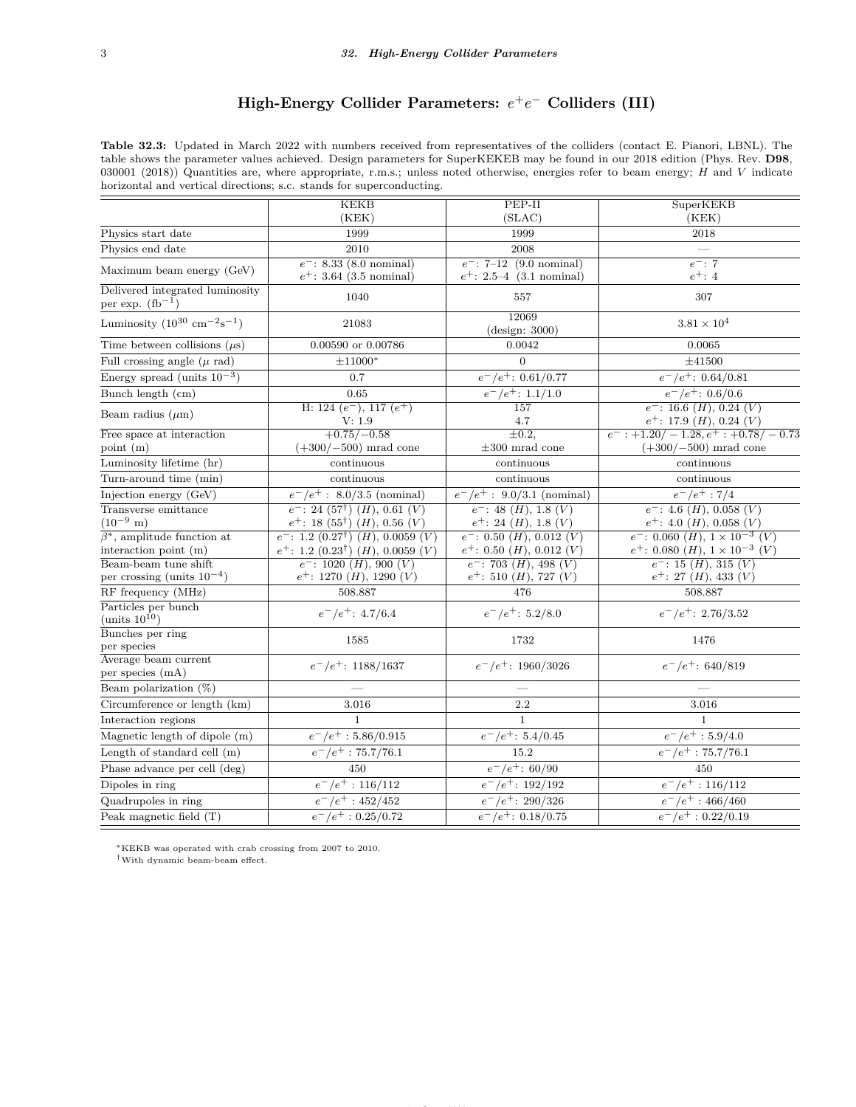# **High-Energy Collider Parameters:**  $e^+e^-$  Colliders (III)

**Table 32.3:** Updated in March 2022 with numbers received from representatives of the colliders (contact E. Pianori, LBNL). The table shows the parameter values achieved. Design parameters for SuperKEKEB may be found in our 2018 edition (Phys. Rev. **D98**, 030001 (2018)) Quantities are, where appropriate, r.m.s.; unless noted otherwise, energies refer to beam energy; *H* and *V* indicate horizontal and vertical directions; s.c. stands for superconducting.

|                                                         | KEKB                                                                                                                           | PEP-II                                                       | SuperKEKB                                                                       |  |  |
|---------------------------------------------------------|--------------------------------------------------------------------------------------------------------------------------------|--------------------------------------------------------------|---------------------------------------------------------------------------------|--|--|
|                                                         | (KEK)                                                                                                                          | (SLAC)                                                       | (KEK)                                                                           |  |  |
| Physics start date                                      | 1999                                                                                                                           | 1999                                                         | 2018                                                                            |  |  |
| Physics end date                                        | 2010                                                                                                                           | 2008                                                         |                                                                                 |  |  |
| Maximum beam energy (GeV)                               | $e^-$ : 8.33 (8.0 nominal)                                                                                                     | $e^-$ : 7-12 (9.0 nominal)                                   | $e^-$ : 7                                                                       |  |  |
|                                                         | $e^+$ : 3.64 (3.5 nominal)                                                                                                     | $e^+$ : 2.5–4 (3.1 nominal)                                  | $e^+$ : 4                                                                       |  |  |
| Delivered integrated luminosity<br>per exp. $(fb^{-1})$ | 1040                                                                                                                           | 557                                                          | 307                                                                             |  |  |
| Luminosity $(10^{30} \text{ cm}^{-2} \text{s}^{-1})$    | 21083                                                                                                                          | 12069<br>(design: 3000)                                      | $3.81 \times 10^{4}$                                                            |  |  |
| Time between collisions $(\mu s)$                       | 0.00590 or 0.00786                                                                                                             | 0.0042                                                       | 0.0065                                                                          |  |  |
| Full crossing angle $(\mu$ rad)                         | $\pm 11000*$                                                                                                                   | $\overline{0}$                                               | ±41500                                                                          |  |  |
| Energy spread (units $10^{-3}$ )                        | 0.7                                                                                                                            | $\sqrt{e^-}/e^+$ : 0.61/0.77                                 | $e^-/e^+$ : 0.64/0.81                                                           |  |  |
| Bunch length (cm)                                       | 0.65                                                                                                                           | $e^-/e^+$ : 1.1/1.0                                          | $e^-/e^+$ : 0.6/0.6                                                             |  |  |
| Beam radius $(\mu m)$                                   | H: 124 $(e^-)$ , 117 $(e^+)$<br>V: 1.9                                                                                         | 157<br>4.7                                                   | $e^-$ : 16.6 ( <i>H</i> ), 0.24 ( <i>V</i> )<br>$e^+$ : 17.9 $(H)$ , 0.24 $(V)$ |  |  |
| Free space at interaction                               | $+0.75/-0.58$                                                                                                                  | $\pm 0.2$                                                    | $e^-$ : +1.20/ - 1.28, $e^+$ : +0.78/ - 0.73                                    |  |  |
| point $(m)$                                             | $(+300/-500)$ mrad cone                                                                                                        | $\pm 300$ mrad cone                                          | $(+300/-500)$ mrad cone                                                         |  |  |
| Luminosity lifetime (hr)                                | continuous                                                                                                                     | continuous                                                   | continuous                                                                      |  |  |
| Turn-around time (min)                                  | continuous                                                                                                                     | continuous                                                   | continuous                                                                      |  |  |
| Injection energy (GeV)                                  | $e^-/e^+$ : 8.0/3.5 (nominal)                                                                                                  | $e^-/e^+$ : 9.0/3.1 (nominal)                                | $e^-/e^+$ : 7/4                                                                 |  |  |
| Transverse emittance<br>$(10^{-9} \text{ m})$           | $e^-$ : 24 (57 <sup>†</sup> ) ( <i>H</i> ), 0.61 ( <i>V</i> )<br>$e^+$ : 18 (55 <sup>†</sup> ) ( <i>H</i> ), 0.56 ( <i>V</i> ) | $e^-$ : 48 $(H)$ , 1.8 $(V)$<br>$e^+$ : 24 $(H)$ , 1.8 $(V)$ | $e^-$ : 4.6 $(H)$ , 0.058 $(V)$<br>$e^+$ : 4.0 $(H)$ , 0.058 $(V)$              |  |  |
| $\beta^*$ , amplitude function at                       | $e^-$ : 1.2 $(0.27^{\dagger})$ $(H)$ , 0.0059 $(V)$                                                                            | $e^-$ : 0.50 $(H)$ , 0.012 $(V)$                             | $e^-$ : 0.060 $(H)$ , $1 \times 10^{-3}$ (V)                                    |  |  |
| interaction point $(m)$                                 | $e^+$ : 1.2 (0.23 <sup>†</sup> ) ( <i>H</i> ), 0.0059 ( <i>V</i> )                                                             | $e^+$ : 0.50 $(H)$ , 0.012 $(V)$                             | $e^+$ : 0.080 $(H)$ , 1 × 10 <sup>-3</sup> $(V)$                                |  |  |
| Beam-beam tune shift                                    | $e^-$ : 1020 $(H)$ , 900 $(V)$                                                                                                 | $e^-$ : 703 (H), 498 (V)                                     | $e^-$ : 15 $(H)$ , 315 $(V)$                                                    |  |  |
| per crossing (units $10^{-4}$ )                         | $e^+$ : 1270 $(H)$ , 1290 $(V)$                                                                                                | $e^+$ : 510 $(H)$ , 727 $(V)$                                | $e^+$ : 27 ( <i>H</i> ), 433 ( <i>V</i> )                                       |  |  |
| RF frequency (MHz)                                      | 508.887                                                                                                                        | 476                                                          | 508.887                                                                         |  |  |
| Particles per bunch<br>(units $10^{10}$ )               | $e^-/e^+$ : 4.7/6.4                                                                                                            | $e^-/e^+$ : 5.2/8.0                                          | $e^-/e^+$ : 2.76/3.52                                                           |  |  |
| Bunches per ring<br>per species                         | 1585                                                                                                                           | 1732                                                         | 1476                                                                            |  |  |
| Average beam current<br>per species (mA)                | $e^-/e^+$ : 1188/1637                                                                                                          | $e^-/e^+$ : 1960/3026                                        | $e^-/e^+$ : 640/819                                                             |  |  |
| Beam polarization $(\%)$                                |                                                                                                                                |                                                              |                                                                                 |  |  |
| Circumference or length (km)                            | 3.016                                                                                                                          | 2.2                                                          | 3.016                                                                           |  |  |
| Interaction regions                                     | $\mathbf{1}$                                                                                                                   | $\mathbf{1}$                                                 | 1                                                                               |  |  |
| Magnetic length of dipole (m)                           | $e^-/e^+$ : 5.86/0.915                                                                                                         | $e^-/e^+$ : 5.4/0.45                                         | $e^-/e^+$ : 5.9/4.0                                                             |  |  |
| Length of standard cell (m)                             | $e^-/e^+$ : 75.7/76.1                                                                                                          | 15.2                                                         | $e^-/e^+$ : 75.7/76.1                                                           |  |  |
| Phase advance per cell (deg)                            | 450                                                                                                                            | $\frac{e^-}{e^+}$ : 60/90                                    | 450                                                                             |  |  |
| Dipoles in ring                                         | $e^-/e^+$ : 116/112                                                                                                            | $e^-/e^+$ : 192/192                                          | $e^-/e^+$ : 116/112                                                             |  |  |
| Quadrupoles in ring                                     | $e^-/e^+$ : 452/452                                                                                                            | $e^-/e^+$ : 290/326                                          | $e^-/e^+$ : 466/460                                                             |  |  |
| Peak magnetic field (T)                                 | $e^-/e^+$ : 0.25/0.72                                                                                                          | $e^-/e^+$ : 0.18/0.75                                        | $\frac{e^-}{e^+}$ : 0.22/0.19                                                   |  |  |
|                                                         |                                                                                                                                |                                                              |                                                                                 |  |  |

<span id="page-2-0"></span><sup>∗</sup>KEKB was operated with crab crossing from 2007 to 2010.

<span id="page-2-1"></span>†With dynamic beam-beam effect.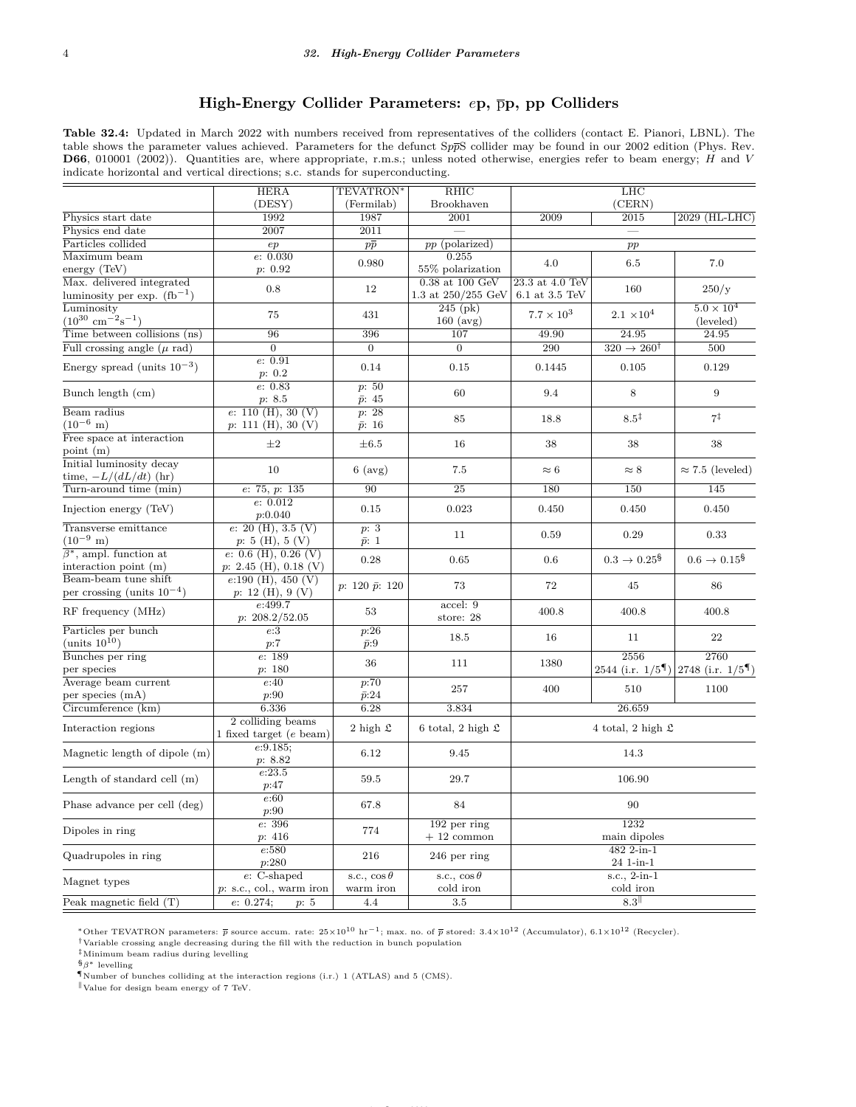#### **High-Energy Collider Parameters:** *e***p,** p**p, pp Colliders**

**Table 32.4:** Updated in March 2022 with numbers received from representatives of the colliders (contact E. Pianori, LBNL). The table shows the parameter values achieved. Parameters for the defunct S*pp*S collider may be found in our 2002 edition (Phys. Rev. **D66**, 010001 (2002)). Quantities are, where appropriate, r.m.s.; unless noted otherwise, energies refer to beam energy; *H* and *V* indicate horizontal and vertical directions; s.c. stands for superconducting.

|                                                              | <b>HERA</b>                                            | TEVATRON*                          | $R$ HIC                                   | LHC                                   |                                 |                                                                     |
|--------------------------------------------------------------|--------------------------------------------------------|------------------------------------|-------------------------------------------|---------------------------------------|---------------------------------|---------------------------------------------------------------------|
|                                                              | (DESY)                                                 | (Fermilab)                         | Brookhaven                                | (CERN)                                |                                 |                                                                     |
| Physics start date                                           | 1992                                                   | 1987                               | 2001                                      | 2009<br>2015                          |                                 | 2029 (HL-LHC)                                                       |
| Physics end date                                             | 2007                                                   | $\overline{2011}$                  |                                           |                                       |                                 |                                                                     |
| Particles collided                                           | ep                                                     | $p\bar{p}$                         | pp (polarized)                            | pp                                    |                                 |                                                                     |
| Maximum beam                                                 | e: 0.030                                               | 0.980                              | 0.255                                     | 4.0                                   | 6.5                             | 7.0                                                                 |
| energy (TeV)                                                 | p: 0.92                                                |                                    | 55% polarization                          |                                       |                                 |                                                                     |
| Max. delivered integrated<br>luminosity per exp. $(fb^{-1})$ | 0.8                                                    | 12                                 | $0.38$ at $100$ GeV<br>1.3 at 250/255 GeV | 23.3 at 4.0 TeV<br>$6.1$ at $3.5$ TeV | 160                             | 250/y                                                               |
| Luminosity<br>$(10^{30} \text{ cm}^{-2} \text{s}^{-1})$      | 75                                                     | 431                                | $245$ (pk)<br>$160 \text{ (avg)}$         | $7.7\times10^3$                       | $2.1 \times 10^{4}$             | $5.0 \times 10^{4}$<br>(leveled)                                    |
| Time between collisions $(ns)$                               | 96                                                     | 396                                | 107                                       | 49.90                                 | 24.95                           | 24.95                                                               |
| Full crossing angle $(\mu$ rad)                              | $\overline{0}$                                         | $\overline{0}$                     | $\theta$                                  | $\overline{290}$                      | $320 \rightarrow 260^{\dagger}$ | 500                                                                 |
| Energy spread (units $10^{-3}$ )                             | e: 0.91<br>p: 0.2                                      | 0.14                               | 0.15                                      | 0.1445                                | 0.105                           | 0.129                                                               |
| Bunch length (cm)                                            | e: 0.83<br>p: 8.5                                      | p: 50<br>$\bar{p}$ : 45            | 60                                        | 9.4                                   | 8                               | $\boldsymbol{9}$                                                    |
| Beam radius                                                  | e: 110(H), 30(V)                                       | p: 28                              |                                           |                                       |                                 |                                                                     |
| $(10^{-6} \text{ m})$                                        | p: 111(H), 30(V)                                       | $\bar{p}$ : 16                     | 85                                        | 18.8                                  | $8.5^{\ddagger}$                | $7^{\ddagger}$                                                      |
| Free space at interaction<br>point $(m)$                     | $\pm 2$                                                | $\pm 6.5$                          | 16                                        | 38                                    | 38                              | 38                                                                  |
| Initial luminosity decay<br>time, $-L/(dL/dt)$ (hr)          | 10                                                     | $6 \text{ (avg)}$                  | 7.5                                       | $\approx 6$                           | $\approx 8$                     | $\approx 7.5$ (leveled)                                             |
| Turn-around time (min)                                       | e: 75, p: 135                                          | 90                                 | $\overline{25}$                           | 180                                   | 150                             | 145                                                                 |
|                                                              | e: 0.012                                               |                                    |                                           |                                       |                                 |                                                                     |
| Injection energy (TeV)                                       | p:0.040                                                | 0.15                               | 0.023                                     | 0.450                                 | 0.450                           | 0.450                                                               |
| Transverse emittance<br>$(10^{-9} \text{ m})$                | $e: 20 \text{ (H)}, 3.5 \text{ (V)}$<br>p: 5(H), 5(V)  | $\overline{p:3}$<br>$\bar{p}$ : 1  | 11                                        | 0.59                                  | 0.29                            | 0.33                                                                |
| $\beta^*$ , ampl. function at<br>interaction point $(m)$     | $e: 0.6$ (H), 0.26 (V)<br>$p: 2.45$ (H), 0.18 (V)      | 0.28                               | 0.65                                      | 0.6                                   | $0.3 \to 0.25^{\$}$             | $0.6 \to 0.15^{\$}$                                                 |
| Beam-beam tune shift<br>per crossing (units $10^{-4}$ )      | e:190(H), 450(V)<br>$p: 12 \text{ (H)}, 9 \text{ (V)}$ | $p: 120 \bar{p}: 120$              | 73                                        | 72                                    | 45                              | 86                                                                  |
| $RF$ frequency $(MHz)$                                       | e:499.7<br>p: 208.2/52.05                              | 53                                 | accel: 9<br>store: 28                     | 400.8                                 | 400.8                           | 400.8                                                               |
| Particles per bunch<br>(units $10^{10}$ )                    | e:3<br>p:7                                             | $\overline{p:26}$<br>$\bar{p}$ :9  | 18.5                                      | 16                                    | 11                              | 22                                                                  |
| Bunches per ring                                             | e: 189                                                 |                                    |                                           |                                       | 2556                            | 2760                                                                |
| per species                                                  | p: 180                                                 | 36                                 | 111                                       | 1380                                  |                                 | $2544$ (i.r. $1/5$ <sup>4</sup> ) $2748$ (i.r. $1/5$ <sup>4</sup> ) |
| Average beam current<br>per species (mA)                     | e:40<br>p:90                                           | $\overline{p:70}$<br>$\bar{p}$ :24 | 257                                       | 400                                   | 510                             | 1100                                                                |
| Circumference (km)                                           | 6.336                                                  | 6.28                               | 3.834                                     | 26.659                                |                                 |                                                                     |
| Interaction regions                                          | 2 colliding beams<br>1 fixed target $(e$ beam)         | 2 high $\mathfrak L$               | 6 total, 2 high $\mathfrak L$             | 4 total, 2 high $\mathfrak L$         |                                 |                                                                     |
| Magnetic length of dipole (m)                                | e:9.185;<br>p: 8.82                                    | 6.12                               | 9.45                                      | 14.3                                  |                                 |                                                                     |
| Length of standard cell $(m)$                                | e:23.5<br>p:47                                         | 59.5                               | 29.7                                      | 106.90                                |                                 |                                                                     |
| Phase advance per cell (deg)                                 | e:60<br>p:90                                           | 67.8                               | 84                                        | 90                                    |                                 |                                                                     |
| Dipoles in ring                                              | e: 396<br>p: 416                                       | 774                                | $192$ per ring<br>$+12$ common            | 1232<br>main dipoles                  |                                 |                                                                     |
| Quadrupoles in ring                                          | e:580<br>p:280                                         | 216                                | $246$ per ring                            | 482 2-in-1<br>24 1-in-1               |                                 |                                                                     |
| Magnet types                                                 | $e$ : C-shaped<br>p: s.c., col., warm iron             | s.c., $\cos \theta$<br>warm iron   | s.c., $\cos \theta$<br>cold iron          | s.c., 2-in-1<br>cold iron             |                                 |                                                                     |
| Peak magnetic field (T)                                      | e: 0.274;<br>p: 5                                      | 4.4                                | $3.5\,$                                   |                                       | 8.3                             |                                                                     |
|                                                              |                                                        |                                    |                                           |                                       |                                 |                                                                     |

<span id="page-3-0"></span><sup>∗</sup>Other TEVATRON parameters: *p* source accum. rate: 25×10<sup>10</sup> hr−1; max. no. of *p* stored: 3.4×10<sup>12</sup> (Accumulator), 6.1×10<sup>12</sup> (Recycler).

<span id="page-3-1"></span> $^\dagger$ Variable crossing angle decreasing during the fill with the reduction in bunch population

<span id="page-3-2"></span>‡Minimum beam radius during levelling

<span id="page-3-3"></span>§*β* <sup>∗</sup> levelling

<span id="page-3-4"></span>¶Number of bunches colliding at the interaction regions (i.r.) 1 (ATLAS) and 5 (CMS).

<span id="page-3-5"></span> $\mathbb{V}$ Value for design beam energy of 7 TeV.